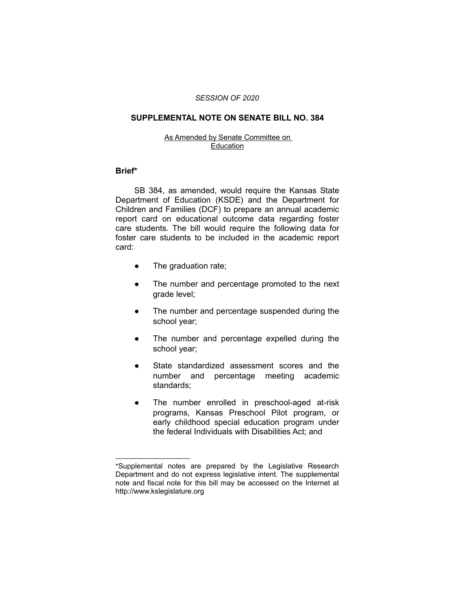# *SESSION OF 2020*

## **SUPPLEMENTAL NOTE ON SENATE BILL NO. 384**

#### As Amended by Senate Committee on Education

# **Brief\***

SB 384, as amended, would require the Kansas State Department of Education (KSDE) and the Department for Children and Families (DCF) to prepare an annual academic report card on educational outcome data regarding foster care students. The bill would require the following data for foster care students to be included in the academic report card:

• The graduation rate;

 $\overline{\phantom{a}}$  , where  $\overline{\phantom{a}}$  , where  $\overline{\phantom{a}}$ 

- The number and percentage promoted to the next grade level;
- The number and percentage suspended during the school year;
- The number and percentage expelled during the school year;
- State standardized assessment scores and the number and percentage meeting academic standards;
- The number enrolled in preschool-aged at-risk programs, Kansas Preschool Pilot program, or early childhood special education program under the federal Individuals with Disabilities Act; and

<sup>\*</sup>Supplemental notes are prepared by the Legislative Research Department and do not express legislative intent. The supplemental note and fiscal note for this bill may be accessed on the Internet at http://www.kslegislature.org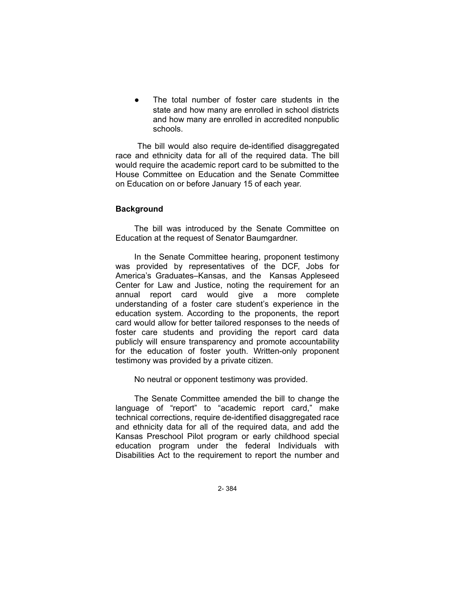The total number of foster care students in the state and how many are enrolled in school districts and how many are enrolled in accredited nonpublic schools.

 The bill would also require de-identified disaggregated race and ethnicity data for all of the required data. The bill would require the academic report card to be submitted to the House Committee on Education and the Senate Committee on Education on or before January 15 of each year.

# **Background**

The bill was introduced by the Senate Committee on Education at the request of Senator Baumgardner.

In the Senate Committee hearing, proponent testimony was provided by representatives of the DCF, Jobs for America's Graduates–Kansas, and the Kansas Appleseed Center for Law and Justice, noting the requirement for an annual report card would give a more complete understanding of a foster care student's experience in the education system. According to the proponents, the report card would allow for better tailored responses to the needs of foster care students and providing the report card data publicly will ensure transparency and promote accountability for the education of foster youth. Written-only proponent testimony was provided by a private citizen.

No neutral or opponent testimony was provided.

The Senate Committee amended the bill to change the language of "report" to "academic report card," make technical corrections, require de-identified disaggregated race and ethnicity data for all of the required data, and add the Kansas Preschool Pilot program or early childhood special education program under the federal Individuals with Disabilities Act to the requirement to report the number and